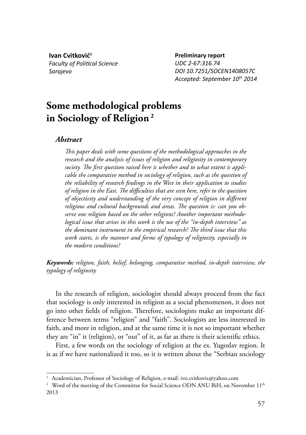**Ivan Cvitković<sup>1</sup> Faculty of Political Science** *Sarajevo*

**Preliminary report** *UDC 2-67:316.74 DOI 10.7251/SOCEN1408057C Accepted: September 10th 2014*

# **Some methodological problems in Sociology of Religion <sup>2</sup>**

## *Abstract*

*This paper deals with some questions of the methodological approaches in the research and the analysis of issues of religion and religiosity in contemporary*  society. The first question raised here is whether and to what extent is appli*cable the comparative method in sociology of religion, such as the question of*  the reliability of research findings in the West in their application to studies of religion in the East. The difficulties that are seen here, refer to the question of objectivity and understanding of the very concept of religion in different religious and cultural backgrounds and areas. The question is: can you ob*serve one religion based on the other religions? Another important methodological issue that arises in this work is the use of the "in-depth interview" as*  the dominant instrument in the empirical research? The third issue that this *work starts, is the manner and forms of typology of religiosity, especially in the modern conditions?*

*Keywords: religion, faith, belief, belonging, comparative method, in-depth interview, the typology of religiosity.*

In the research of religion, sociologist should always proceed from the fact that sociology is only interested in religion as a social phenomenon, it does not go into other fields of religion. Therefore, sociologists make an important difference between terms "religion" and "faith". Sociologists are less interested in faith, and more in religion, and at the same time it is not so important whether they are "in" it (religion), or "out" of it, as far as there is their scientific ethics.

First, a few words on the sociology of religion at the ex. Yugoslav region. It is as if we have nationalized it too, so it is written about the "Serbian sociology

<sup>&</sup>lt;sup>1</sup> Academician, Professor of Sociology of Religion, e-mail: ivo.cvitkovic@yahoo.com

 $^2$  Word of the meeting of the Committee for Social Science ODN ANU BiH, on November 11<sup>th</sup> 2013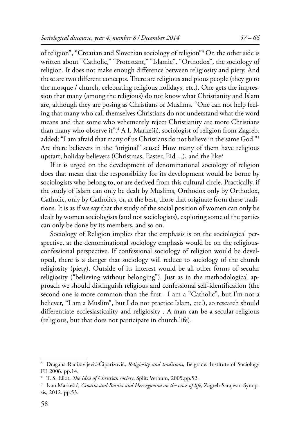of religion", "Croatian and Slovenian sociology of religion"3 On the other side is written about "Catholic," "Protestant," "Islamic", "Orthodox", the sociology of religion. It does not make enough difference between religiosity and piety. And these are two different concepts. There are religious and pious people (they go to the mosque / church, celebrating religious holidays, etc.). One gets the impression that many (among the religious) do not know what Christianity and Islam are, although they are posing as Christians or Muslims. "One can not help feeling that many who call themselves Christians do not understand what the word means and that some who vehemently reject Christianity are more Christians than many who observe it".4 A I. Markešić, sociologist of religion from Zagreb, added: "I am afraid that many of us Christians do not believe in the same God."5 Are there believers in the "original" sense? How many of them have religious upstart, holiday believers (Christmas, Easter, Eid ...), and the like?

If it is urged on the development of denominational sociology of religion does that mean that the responsibility for its development would be borne by sociologists who belong to, or are derived from this cultural circle. Practically, if the study of Islam can only be dealt by Muslims, Orthodox only by Orthodox, Catholic, only by Catholics, or, at the best, those that originate from these traditions. It is as if we say that the study of the social position of women can only be dealt by women sociologists (and not sociologists), exploring some of the parties can only be done by its members, and so on.

Sociology of Religion implies that the emphasis is on the sociological perspective, at the denominational sociology emphasis would be on the religiousconfessional perspective. If confessional sociology of religion would be developed, there is a danger that sociology will reduce to sociology of the church religiosity (piety). Outside of its interest would be all other forms of secular religiosity ("believing without belonging"). Just as in the methodological approach we should distinguish religious and confessional self-identification (the second one is more common than the first - I am a "Catholic", but I'm not a believer, "I am a Muslim", but I do not practice Islam, etc.), so research should differentiate ecclesiasticality and religiosity. A man can be a secular-religious (religious, but that does not participate in church life).

<sup>3</sup> Dragana Radisavljević-Ćiparizović, *Religiosity and traditions,* Belgrade: Institute of Sociology FF, 2006. pp.14.

<sup>&</sup>lt;sup>4</sup> T. S. Eliot, *The Idea of Christian society*, Split: Verbum, 2005.pp.52.

<sup>5</sup> Ivan Markešić, *Croatia and Bosnia and Herzegovina on the cross of life*, Zagreb-Sarajevo: Synopsis, 2012. pp.53.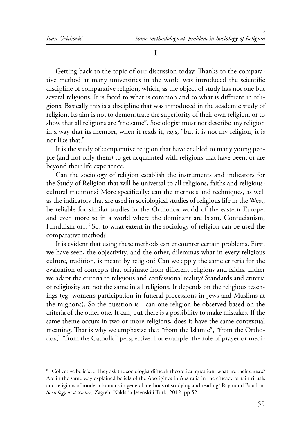#### **I**

Getting back to the topic of our discussion today. Thanks to the comparative method at many universities in the world was introduced the scientific discipline of comparative religion, which, as the object of study has not one but several religions. It is faced to what is common and to what is different in religions. Basically this is a discipline that was introduced in the academic study of religion. Its aim is not to demonstrate the superiority of their own religion, or to show that all religions are "the same". Sociologist must not describe any religion in a way that its member, when it reads it, says, "but it is not my religion, it is not like that."

It is the study of comparative religion that have enabled to many young people (and not only them) to get acquainted with religions that have been, or are beyond their life experience.

Can the sociology of religion establish the instruments and indicators for the Study of Religion that will be universal to all religions, faiths and religiouscultural traditions? More specifically: can the methods and techniques, as well as the indicators that are used in sociological studies of religious life in the West, be reliable for similar studies in the Orthodox world of the eastern Europe, and even more so in a world where the dominant are Islam, Confucianism, Hinduism or...<sup>6</sup> So, to what extent in the sociology of religion can be used the comparative method?

It is evident that using these methods can encounter certain problems. First, we have seen, the objectivity, and the other, dilemmas what in every religious culture, tradition, is meant by religion? Can we apply the same criteria for the evaluation of concepts that originate from different religions and faiths. Either we adapt the criteria to religious and confessional reality? Standards and criteria of religiosity are not the same in all religions. It depends on the religious teachings (eg, women's participation in funeral processions in Jews and Muslims at the mignons). So the question is - can one religion be observed based on the criteria of the other one. It can, but there is a possibility to make mistakes. If the same theme occurs in two or more religions, does it have the same contextual meaning. That is why we emphasize that "from the Islamic", "from the Orthodox," "from the Catholic" perspective. For example, the role of prayer or medi-

 $6$  Collective beliefs ... They ask the sociologist difficult theoretical question: what are their causes? Are in the same way explained beliefs of the Aborigines in Australia in the efficacy of rain rituals and religions of modern humans in general methods of studying and reading? Raymond Boudon, *Sociology as a science*, Zagreb: Naklada Jesenski i Turk, 2012. pp.52.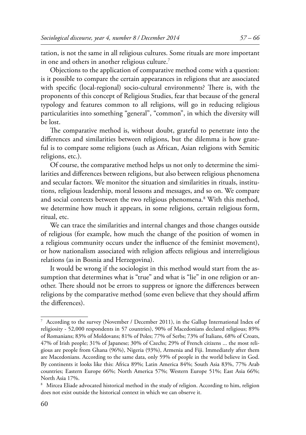tation, is not the same in all religious cultures. Some rituals are more important in one and others in another religious culture.<sup>7</sup>

Objections to the application of comparative method come with a question: is it possible to compare the certain appearances in religions that are associated with specific (local-regional) socio-cultural environments? There is, with the proponents of this concept of Religious Studies, fear that because of the general typology and features common to all religions, will go in reducing religious particularities into something "general", "common", in which the diversity will be lost.

The comparative method is, without doubt, grateful to penetrate into the differences and similarities between religions, but the dilemma is how grateful is to compare some religions (such as African, Asian religions with Semitic religions, etc.).

Of course, the comparative method helps us not only to determine the similarities and differences between religions, but also between religious phenomena and secular factors. We monitor the situation and similarities in rituals, institutions, religious leadership, moral lessons and messages, and so on. We compare and social contexts between the two religious phenomena.8 With this method, we determine how much it appears, in some religions, certain religious form, ritual, etc.

We can trace the similarities and internal changes and those changes outside of religious (for example, how much the change of the position of women in a religious community occurs under the influence of the feminist movement), or how nationalism associated with religion affects religious and interreligious relations (as in Bosnia and Herzegovina).

It would be wrong if the sociologist in this method would start from the assumption that determines what is "true" and what is "lie" in one religion or another. There should not be errors to suppress or ignore the differences between religions by the comparative method (some even believe that they should affirm the differences).

<sup>7</sup> According to the survey (November / December 2011), in the Gallup International Index of religiosity - 52,000 respondents in 57 countries), 90% of Macedonians declared religious; 89% of Romanians; 83% of Moldovans; 81% of Poles; 77% of Serbs; 73% of Italians, 68% of Croats, 47% of Irish people; 31% of Japanese; 30% of Czechs; 29% of French citizens ... the most religious are people from Ghana (96%), Nigeria (93%), Armenia and Fiji. Immediately after them are Macedonians. According to the same data, only 59% of people in the world believe in God. By continents it looks like this: Africa 89%; Latin America 84%; South Asia 83%, 77% Arab countries; Eastern Europe 66%; North America 57%; Western Europe 51%; East Asia 66%; North Asia 17%.

<sup>&</sup>lt;sup>8</sup> Mircea Eliade advocated historical method in the study of religion. According to him, religion does not exist outside the historical context in which we can observe it.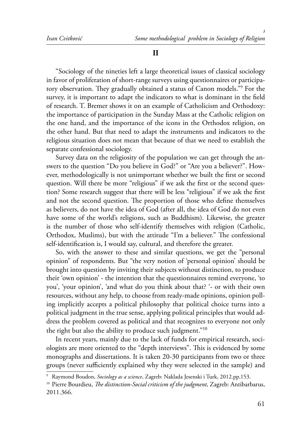"Sociology of the nineties left a large theoretical issues of classical sociology in favor of proliferation of short-range surveys using questionnaires or participatory observation. They gradually obtained a status of Canon models."<sup>9</sup> For the survey, it is important to adapt the indicators to what is dominant in the field of research. T. Bremer shows it on an example of Catholicism and Orthodoxy: the importance of participation in the Sunday Mass at the Catholic religion on the one hand, and the importance of the icons in the Orthodox religion, on the other hand. But that need to adapt the instruments and indicators to the religious situation does not mean that because of that we need to establish the separate confessional sociology.

Survey data on the religiosity of the population we can get through the answers to the question "Do you believe in God?" or "Are you a believer?". However, methodologically is not unimportant whether we built the first or second question. Will there be more "religious" if we ask the first or the second question? Some research suggest that there will be less "religious" if we ask the first and not the second question. The proportion of those who define themselves as believers, do not have the idea of God (after all, the idea of God do not even have some of the world's religions, such as Buddhism). Likewise, the greater is the number of those who self-identify themselves with religion (Catholic, Orthodox, Muslims), but with the attitude "I'm a believer." The confessional self-identification is, I would say, cultural, and therefore the greater.

So, with the answer to these and similar questions, we get the "personal opinion" of respondents. But "the very notion of 'personal opinion' should be brought into question by inviting their subjects without distinction, to produce their 'own opinion' - the intention that the questionnaires remind everyone, 'to you', 'your opinion', 'and what do you think about that? '- or with their own resources, without any help, to choose from ready-made opinions, opinion polling implicitly accepts a political philosophy that political choice turns into a political judgment in the true sense, applying political principles that would address the problem covered as political and that recognizes to everyone not only the right but also the ability to produce such judgment."<sup>10</sup>

In recent years, mainly due to the lack of funds for empirical research, sociologists are more oriented to the "depth interviews". This is evidenced by some monographs and dissertations. It is taken 20-30 participants from two or three groups (never sufficiently explained why they were selected in the sample) and

<sup>9</sup> Raymond Boudon, *Sociology as a science*, Zagreb: Naklada Jesenski i Turk, 2012.pp.153.

<sup>&</sup>lt;sup>10</sup> Pierre Bourdieu, *The distinction-Social criticism of the judgment*, Zagreb: Antibarbarus, 2011.366.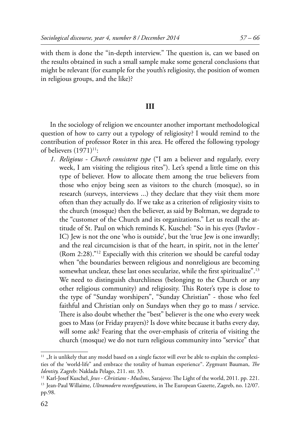with them is done the "in-depth interview." The question is, can we based on the results obtained in such a small sample make some general conclusions that might be relevant (for example for the youth's religiosity, the position of women in religious groups, and the like)?

# **III**

In the sociology of religion we encounter another important methodological question of how to carry out a typology of religiosity? I would remind to the contribution of professor Roter in this area. He offered the following typology of believers (1971)<sup>11</sup>:

*1. Religious - Church consistent type* ("I am a believer and regularly, every week, I am visiting the religious rites"). Let's spend a little time on this type of believer. How to allocate them among the true believers from those who enjoy being seen as visitors to the church (mosque), so in research (surveys, interviews ...) they declare that they visit them more often than they actually do. If we take as a criterion of religiosity visits to the church (mosque) then the believer, as said by Boltman, we degrade to the "customer of the Church and its organizations." Let us recall the attitude of St. Paul on which reminds K. Kuschel: "So in his eyes (Pavlov - IC) Jew is not the one 'who is outside', but the 'true Jew is one inwardly; and the real circumcision is that of the heart, in spirit, not in the letter' (Rom 2:28)."12 Especially with this criterion we should be careful today when "the boundaries between religious and nonreligious are becoming somewhat unclear, these last ones secularize, while the first spiritualize".<sup>13</sup> We need to distinguish churchliness (belonging to the Church or any other religious community) and religiosity. This Roter's type is close to the type of "Sunday worshipers", "Sunday Christian" - those who feel faithful and Christian only on Sundays when they go to mass / service. There is also doubt whether the "best" believer is the one who every week goes to Mass (or Friday prayers)? Is dove white because it baths every day, will some ask? Fearing that the over-emphasis of criteria of visiting the church (mosque) we do not turn religious community into "service" that

 $11$  "It is unlikely that any model based on a single factor will ever be able to explain the complexities of the 'world-life" and embrace the totality of human experience". Zygmunt Bauman, *The Identity,* Zagreb: Naklada Pelago, 211. str. 33.

<sup>&</sup>lt;sup>12</sup> Karl-Josef Kuschel, *Jews - Christians - Muslims*, Sarajevo: The Light of the world, 2011. pp. 221.<br><sup>13</sup> Jean-Paul Willaime, *Ultramodern reconfigurations*, in The European Gazette, Zagreb, no. 12/07.

pp.98.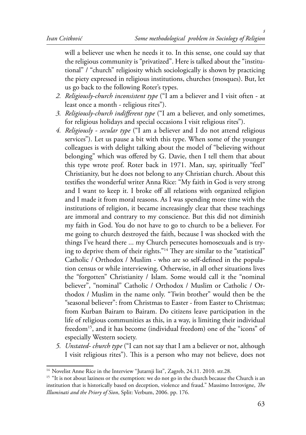will a believer use when he needs it to. In this sense, one could say that the religious community is "privatized". Here is talked about the "institutional" / "church" religiosity which sociologically is shown by practicing the piety expressed in religious institutions, churches (mosques). But, let us go back to the following Roter's types.

- *2. Religiously-church inconsistent type* ("I am a believer and I visit often at least once a month - religious rites").
- *3. Religiously-church indifferent type* ("I am a believer, and only sometimes, for religious holidays and special occasions I visit religious rites").
- *4. Religiously secular type* ("I am a believer and I do not attend religious services"). Let us pause a bit with this type. When some of the younger colleagues is with delight talking about the model of "believing without belonging" which was offered by G. Davie, then I tell them that about this type wrote prof. Roter back in 1971. Man, say, spiritually "feel" Christianity, but he does not belong to any Christian church. About this testifies the wonderful writer Anna Rice: "My faith in God is very strong and I want to keep it. I broke off all relations with organized religion and I made it from moral reasons. As I was spending more time with the institutions of religion, it became increasingly clear that these teachings are immoral and contrary to my conscience. But this did not diminish my faith in God. You do not have to go to church to be a believer. For me going to church destroyed the faith, because I was shocked with the things I've heard there ... my Church persecutes homosexuals and is trying to deprive them of their rights."<sup>14</sup> They are similar to the "statistical" Catholic / Orthodox / Muslim - who are so self-defined in the population census or while interviewing. Otherwise, in all other situations lives the "forgotten" Christianity / Islam. Some would call it the "nominal believer", "nominal" Catholic / Orthodox / Muslim or Catholic / Orthodox / Muslim in the name only. "Twin brother" would then be the "seasonal believer": from Christmas to Easter - from Easter to Christmas; from Kurban Bairam to Bairam. Do citizens leave participation in the life of religious communities as this, in a way, is limiting their individual freedom<sup>15</sup>, and it has become (individual freedom) one of the "icons" of especially Western society.
- *5. Unstated- church type* ("I can not say that I am a believer or not, although I visit religious rites"). This is a person who may not believe, does not

<sup>&</sup>lt;sup>14</sup> Novelist Anne Rice in the Interview "Jutarnji list", Zagreb, 24.11. 2010. str.28.

<sup>&</sup>lt;sup>15</sup> "It is not about laziness or the exemption: we do not go in the church because the Church is an institution that is historically based on deception, violence and fraud." Massimo Introvigne, *The Illuminati and the Priory of Sion*, Split: Verbum, 2006. pp. 176.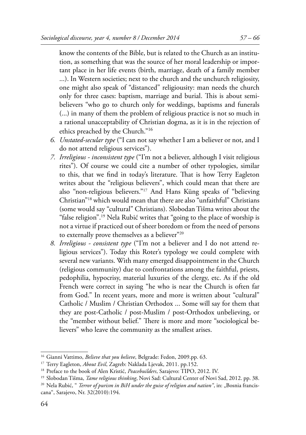know the contents of the Bible, but is related to the Church as an institution, as something that was the source of her moral leadership or important place in her life events (birth, marriage, death of a family member ...). In Western societies; next to the church and the unchurch religiosity, one might also speak of "distanced" religiousity: man needs the church only for three cases: baptism, marriage and burial. This is about semibelievers "who go to church only for weddings, baptisms and funerals (...) in many of them the problem of religious practice is not so much in a rational unacceptability of Christian dogma, as it is in the rejection of ethics preached by the Church."<sup>16</sup>

- *6. Unstated-secular type* ("I can not say whether I am a believer or not, and I do not attend religious services").
- *7. Irreligious inconsistent type* ("I'm not a believer, although I visit religious rites"). Of course we could cite a number of other typologies, similar to this, that we find in today's literature. That is how Terry Eagleton writes about the "religious believers", which could mean that there are also "non-religious believers."17 And Hans Küng speaks of "believing Christian"18 which would mean that there are also "unfaithful" Christians (some would say "cultural" Christians). Slobodan Tišma writes about the "false religion".19 Nela Rubić writes that "going to the place of worship is not a virtue if practiced out of sheer boredom or from the need of persons to externally prove themselves as a believer"20
- *8. Irreligious consistent type* ("I'm not a believer and I do not attend religious services"). Today this Roter's typology we could complete with several new variants. With many emerged disappointment in the Church (religious community) due to confrontations among the faithful, priests, pedophilia, hypocrisy, material luxuries of the clergy, etc. As if the old French were correct in saying "he who is near the Church is often far from God." In recent years, more and more is written about "cultural" Catholic / Muslim / Christian Orthodox ... Some will say for them that they are post-Catholic / post-Muslim / post-Orthodox unbelieving, or the "member without belief." There is more and more "sociological believers" who leave the community as the smallest arises.

<sup>16</sup> Gianni Vattimo, *Believe that you believe*, Belgrade: Fedon, 2009.pp. 63.

<sup>17</sup> Terry Eagleton, *About Evil*, Zagreb: Naklada Ljevak, 2011. pp.152.

<sup>18</sup> Preface to the book of Alen Kristić, *Peacebuilders*, Sarajevo: TIPO, 2012. IV.

<sup>19</sup> Slobodan Tišma, *Tame religious thinking*, Novi Sad: Cultural Center of Novi Sad, 2012. pp. 38.

<sup>&</sup>lt;sup>20</sup> Nela Rubić, " *Terror of purism in BiH under the guise of religion and nation*", in: "Bosnia franciscana", Sarajevo, Nr. 32(2010):194.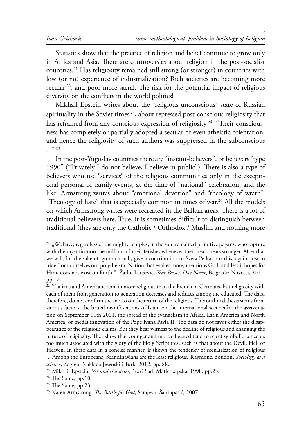Statistics show that the practice of religion and belief continue to grow only in Africa and Asia. There are controversies about religion in the post-socialist countries.21 Has religiosity remained still strong (or stronger) in countries with low (or no) experience of industrialization? Rich societies are becoming more secular  $22$ , and poor more sacral. The risk for the potential impact of religious diversity on the conflicts in the world politics!

Mikhail Epstein writes about the "religious unconscious" state of Russian spirituality in the Soviet times  $23$ , about repressed post-conscious religiosity that has refrained from any conscious expression of religiosity  $24$ . "Their consciousness has completely or partially adopted a secular or even atheistic orientation, and hence the religiosity of such authors was suppressed in the subconscious  $\ldots$  . 25

In the post-Yugoslav countries there are "instant-believers", or believers "type 1990" ("Privately I do not believe, I believe in public"). There is also a type of believers who use "services" of the religious communities only in the exceptional personal or family events, at the time of "national" celebration, and the like. Armstrong writes about "emotional devotion" and "theology of wrath"; "Theology of hate" that is especially common in times of war.<sup>26</sup> All the models on which Armstrong writes were recreated in the Balkan areas. There is a lot of traditional believers here. True, it is sometimes difficult to distinguish between traditional (they are only the Catholic / Orthodox / Muslim and nothing more

 $21$  , We have, regardless of the mighty temples, in the soul remained primitive pagans, who capture with the mystification the millions of their fetishes whenever their heart beats stronger. After that we will, for the sake of, go to church, give a contribution to Sveta Petka, but this, again, just to hide from ourselves our polytheism. Nation that evokes more, mentions God, and less it hopes for Him, does not exist on Earth.". Žarko Laušević, *Year Passes, Day Never*, Belgrade: Novosti, 2011. pp.170.

<sup>&</sup>lt;sup>22</sup> "Italians and Americans remain more religious than the French or Germans, but religiosity with each of them from generation to generation decreases and reduces among the educated. The data, therefore, do not confirm the motto on the return of the religious. This outlined thesis stems from various factors: the brutal manifestations of Islam on the international scene after the assassination on September 11th 2001, the spread of the evangelism in Africa, Latin America and North America, or media innovation of the Pope Ivana Pavla II. The data do not favor either the disappearance of the religious claims. But they bear witness to the decline of religious and changing the nature of religiosity. They show that younger and more educated tend to reject symbolic concepts too much associated with the glory of the Holy Scriptures, such as that about the Devil, Hell or Heaven. In these data in a concise manner, is shown the tendency of secularization of religious ... Among the Europeans, Scandinavians are the least religious."Raymond Boudon, *Sociology as a science*, Zagreb: Naklada Jesenski i Turk, 2012. pp. 88.

<sup>23</sup> Mikhail Epstein, *Ver and character*, Novi Sad: Matica srpska, 1998. pp.23.

 $24$  The Same, pp.10.

 $25$  The Same, pp.23.

<sup>&</sup>lt;sup>26</sup> Karen Armstrong, *The Battle for God*, Sarajevo: Šahinpašić, 2007.